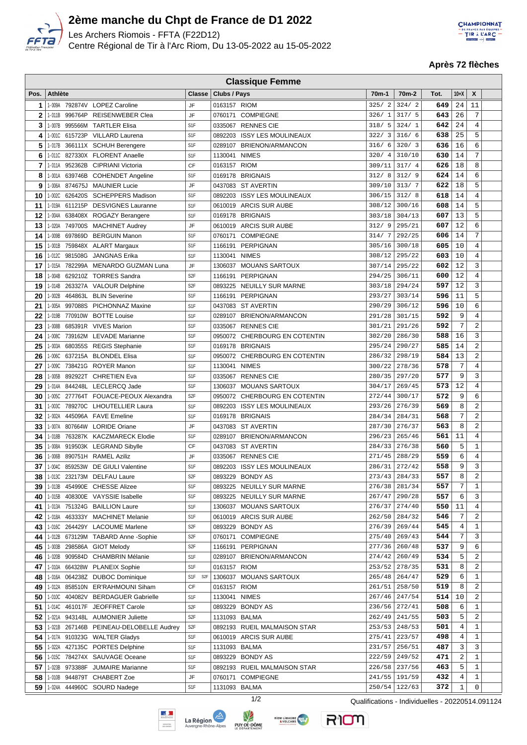

 $\Box$ 

## **2ème manche du Chpt de France de D1 2022**

Les Archers Riomois - FFTA (F22D12) Centre Régional de Tir à l'Arc Riom, Du 13-05-2022 au 15-05-2022



**Après 72 flèches**

|      | <b>Classique Femme</b> |         |                                         |                  |              |                               |                    |                    |      |                |                |  |
|------|------------------------|---------|-----------------------------------------|------------------|--------------|-------------------------------|--------------------|--------------------|------|----------------|----------------|--|
| Pos. | <b>Athlète</b>         |         |                                         | <b>Classe</b>    | Clubs / Pays |                               | 70 <sub>m</sub> -1 | 70 <sub>m</sub> -2 | Tot. | $10+X$         | X              |  |
| 1    |                        |         | 1-009A 792874V LOPEZ Caroline           | JF               | 0163157 RIOM |                               | 325/2              | 324/2              | 649  | 24             | 11             |  |
| 2    |                        |         | 1-011B 996764P REISENWEBER Clea         | JF               | 0760171      | <b>COMPIEGNE</b>              | 326/1              | 317/5              | 643  | 26             | 7              |  |
| 3    | 1-007B                 |         | 995566M TARTLER Elisa                   | S <sub>1</sub> F |              | 0335067 RENNES CIE            | 318/5              | 324/1              | 642  | 24             | $\overline{4}$ |  |
| 4    |                        |         | 1-001C 615723P VILLARD Laurena          | S <sub>1</sub> F | 0892203      | <b>ISSY LES MOULINEAUX</b>    | 322/3              | 316/6              | 638  | 25             | 5              |  |
|      |                        |         |                                         |                  |              |                               |                    |                    |      | 16             | 6              |  |
| 5    | 1-017B                 |         | 366111X SCHUH Berengere                 | S <sub>1</sub> F | 0289107      | BRIENON/ARMANCON              | 316/6              | 320/3              | 636  |                |                |  |
| 6    | 1-011C                 | 827330X | <b>FLORENT Anaelle</b>                  | S <sub>1</sub> F | 1130041      | <b>NIMES</b>                  | 320/4              | 310/10             | 630  | 14             | 7              |  |
| 7    | 1-011A                 |         | 952362B CIPRIANI Victoria               | CF               | 0163157 RIOM |                               | 309/11             | 317/4              | 626  | 18             | 8              |  |
| 8    | 1-001A                 |         | 639746B COHENDET Angeline               | S <sub>1</sub> F | 0169178      | <b>BRIGNAIS</b>               | 312/8              | 312/9              | 624  | 14             | 6              |  |
| 9    | 1-006A                 |         | 874675J MAUNIER Lucie                   | JF               | 0437083      | ST AVERTIN                    | 309/10             | 313/7              | 622  | 18             | 5              |  |
| 10   | 1-002C                 |         | 626420S SCHEPPERS Madison               | S <sub>1</sub> F | 0892203      | <b>ISSY LES MOULINEAUX</b>    | 306/15             | 312/8              | 618  | 14             | $\overline{4}$ |  |
| 11   |                        |         | 1-019A 611215P DESVIGNES Lauranne       | S <sub>1</sub> F |              | 0610019 ARCIS SUR AUBE        | 308/12             | 300/16             | 608  | 14             | 5              |  |
| 12   | 1-004A                 |         | 638408X ROGAZY Berangere                | S <sub>1</sub> F |              | 0169178 BRIGNAIS              | 303/18             | 304/13             | 607  | 13             | 5              |  |
| 13   | 1-020A                 |         | 749700S MACHINET Audrey                 | JF               | 0610019      | ARCIS SUR AUBE                | 312/9              | 295/21             | 607  | 12             | 6              |  |
| 14   | 1-009B                 | 697869D | <b>BERGUIN Manon</b>                    | S <sub>1</sub> F | 0760171      | <b>COMPIEGNE</b>              | 314/7              | 292/25             | 606  | 14             | 7              |  |
| 15   | 1-001B                 |         | 759848X ALART Margaux                   | S <sub>1</sub> F | 1166191      | PERPIGNAN                     | 305/16             | 300/18             | 605  | 10             | 4              |  |
| 16   |                        |         | 1-012C 981508G JANGNAS Erika            | S <sub>1</sub> F | 1130041      | <b>NIMES</b>                  | 308/12             | 295/22             | 603  | 10             | 4              |  |
| 17   | 1-015A                 |         | 782299A MENARDO GUZMAN Luna             | JF               | 1306037      | <b>MOUANS SARTOUX</b>         | 307/14             | 295/22             | 602  | 12             | 3              |  |
| 18   | 1-004B                 |         | 629210Z TORRES Sandra                   | S <sub>2F</sub>  | 1166191      | PERPIGNAN                     | 294/25             | 306/11             | 600  | 12             | $\,4$          |  |
| 19   |                        |         | 1-014B 263327A VALOUR Delphine          | S <sub>2F</sub>  | 0893225      | <b>NEUILLY SUR MARNE</b>      | 303/18             | 294/24             | 597  | 12             | 3              |  |
| 20   | 1-002B                 |         | 464863L BLIN Severine                   | S <sub>1</sub> F |              | 1166191 PERPIGNAN             | 293/27             | 303/14             | 596  | 11             | 5              |  |
| 21   |                        |         | 1-005A 997088S PICHONNAZ Maxine         | S <sub>1</sub> F |              | 0437083 ST AVERTIN            | 290/29             | 306/12             | 596  | 10             | 6              |  |
| 22   | 1-019B                 |         | 770910W BOTTE Louise                    | S <sub>1</sub> F |              | 0289107 BRIENON/ARMANCON      | 291/28             | 301/15             | 592  | 9              | 4              |  |
| 23   | 1-008B                 |         | 685391R VIVES Marion                    | S <sub>1</sub> F |              | 0335067 RENNES CIE            | 301/21             | 291/26             | 592  | 7              | $\overline{c}$ |  |
| 24   | 1-008C                 | 739162M | <b>LEVADE Marianne</b>                  | S <sub>1</sub> F | 0950072      | CHERBOURG EN COTENTIN         | 302/20             | 286/30             | 588  | 16             | 3              |  |
| 25   | 1-003A                 |         | 680355S REGIS Stephanie                 | S <sub>1</sub> F |              | 0169178 BRIGNAIS              | 295/24             | 290/27             | 585  | 14             | $\overline{c}$ |  |
| 26   | 1-006C                 |         | 637215A BLONDEL Elisa                   | S <sub>1</sub> F | 0950072      | CHERBOURG EN COTENTIN         | 286/32             | 298/19             | 584  | 13             | $\overline{c}$ |  |
| 27   |                        |         | 1-009C 738421G ROYER Manon              | S1F              |              | 1130041 NIMES                 | 300/22             | 278/36             | 578  | 7              | 4              |  |
| 28   | 1-005B                 |         | 892922T CHRETIEN Eva                    | S <sub>1</sub> F |              | 0335067 RENNES CIE            | 280/35             | 297/20             | 577  | 9              | 3              |  |
| 29   |                        |         | 1-014A 844248L LECLERCQ Jade            | S <sub>1</sub> F |              | 1306037 MOUANS SARTOUX        | 304/17             | 269/45             | 573  | 12             | $\overline{4}$ |  |
| 30   |                        |         | 1-005C 277764T FOUACE-PEOUX Alexandra   | S <sub>2F</sub>  |              | 0950072 CHERBOURG EN COTENTIN | 272/44             | 300/17             | 572  | 9              | 6              |  |
| 31   | 1-003C                 |         | 789270C LHOUTELLIER Laura               | S <sub>1</sub> F |              | 0892203 ISSY LES MOULINEAUX   | 293/26             | 276/39             | 569  | 8              | 2              |  |
| 32   | 1-002A                 |         | 445096A FAVE Emeline                    | S <sub>1</sub> F | 0169178      | <b>BRIGNAIS</b>               | 284/34             | 284/31             | 568  | 7              | $\overline{c}$ |  |
| 33   | 1-007A                 | 807664W | <b>LORIDE Oriane</b>                    | JF               | 0437083      | <b>ST AVERTIN</b>             | 287/30             | 276/37             | 563  | 8              | $\overline{c}$ |  |
| 34   | 1-018B                 |         | 763287K KACZMARECK Elodie               | S <sub>1</sub> F | 0289107      | <b>BRIENON/ARMANCON</b>       | 296/23             | 265/46             | 561  | 11             | $\overline{4}$ |  |
| 35   |                        |         |                                         | CF               |              | 0437083 ST AVERTIN            | 284/33             | 276/38             | 560  | 5              | $\mathbf 1$    |  |
|      |                        |         | 1-008A 919503K LEGRAND Sibylle          | JF               |              |                               |                    |                    |      | 6              |                |  |
| 36   | 1-006B                 |         | 890751H RAMEL Aziliz                    |                  |              | 0335067 RENNES CIE            | 271/45             | 288/29             | 559  |                | 4<br>3         |  |
| 37   |                        |         | 1-004C 859253W DE GIULI Valentine       | S <sub>1</sub> F |              | 0892203 ISSY LES MOULINEAUX   | 286/31             | 272/42             | 558  | 9              |                |  |
| 38   |                        |         | 1-013C 232173M DELFAU Laure             | S <sub>2</sub> F |              | 0893229 BONDY AS              | 273/43             | 284/33             | 557  | 8              | $\sqrt{2}$     |  |
| 39   |                        |         | 1-013B 454990E CHESSE Alizee            | S <sub>1</sub> F |              | 0893225 NEUILLY SUR MARNE     | 276/38             | 281/34             | 557  | 7              | $\mathbf{1}$   |  |
| 40   | 1-015B                 |         | 408300E VAYSSIE Isabelle                | S <sub>1</sub> F |              | 0893225 NEUILLY SUR MARNE     | 267/47             | 290/28             | 557  | 6              | 3              |  |
| 41   |                        |         | 1-013A 751324G BAILLION Laure           | S <sub>1</sub> F |              | 1306037 MOUANS SARTOUX        | 276/37             | 274/40             | 550  | 11             | $\overline{4}$ |  |
| 42   | 1-018A                 |         | 463333Y MACHINET Melanie                | S <sub>1</sub> F |              | 0610019 ARCIS SUR AUBE        | 262/50             | 284/32             | 546  | 7              | 2              |  |
| 43   |                        |         | 1-016C 264429Y LACOUME Marlene          | S <sub>2</sub> F |              | 0893229 BONDY AS              | 276/39             | 269/44             | 545  | $\overline{4}$ | $\mathbf 1$    |  |
| 44   |                        |         | 1-012B 673129M TABARD Anne-Sophie       | S <sub>2F</sub>  |              | 0760171 COMPIEGNE             | 275/40             | 269/43             | 544  | 7              | 3              |  |
| 45   |                        |         | 1-003B 298586A GIOT Melody              | S <sub>2</sub> F |              | 1166191 PERPIGNAN             | 277/36             | 260/48             | 537  | 9              | 6              |  |
| 46   |                        |         | 1-020B 909584D CHAMBRIN Mélanie         | S <sub>1</sub> F |              | 0289107 BRIENON/ARMANCON      | 274/42             | 260/49             | 534  | 5              | 2              |  |
| 47   |                        |         | 1-010A 664328W PLANEIX Sophie           | S <sub>1</sub> F | 0163157 RIOM |                               | 253/52             | 278/35             | 531  | 8              | 2              |  |
| 48   |                        |         | 1-016A 064238Z DUBOC Dominique          | S1F S2F          |              | 1306037 MOUANS SARTOUX        | 265/48             | 264/47             | 529  | 6              | $\mathbf{1}$   |  |
| 49   |                        |         | 1-012A 858510N ER'RAHMOUNI Siham        | СF               | 0163157 RIOM |                               | 261/51             | 258/50             | 519  | 8              | 2              |  |
| 50   |                        |         | 1-010C 404082V BERDAGUER Gabrielle      | S <sub>1</sub> F | 1130041      | <b>NIMES</b>                  | 267/46             | 247/54             | 514  | 10             | 2              |  |
| 51   |                        |         | 1-014C 461017F JEOFFRET Carole          | S <sub>2</sub> F | 0893229      | <b>BONDY AS</b>               | 236/56             | 272/41             | 508  | 6              | $\mathbf{1}$   |  |
| 52   |                        |         | 1-021A 943148L AUMONIER Juliette        | S <sub>2</sub> F |              | 1131093 BALMA                 | 262/49             | 241/55             | 503  | 5              | 2              |  |
| 53   |                        |         | 1-021B 267146B PEINEAU-DELOBELLE Audrey | S <sub>2F</sub>  |              | 0892193 RUEIL MALMAISON STAR  | 253/53             | 248/53             | 501  | 4              | $\mathbf 1$    |  |
| 54   |                        |         | 1-017A 910323G WALTER Gladys            | S <sub>1</sub> F |              | 0610019 ARCIS SUR AUBE        | 275/41             | 223/57             | 498  | 4              | $\mathbf{1}$   |  |
| 55   |                        |         | 1-022A 427135C PORTES Delphine          | S <sub>1</sub> F |              | 1131093 BALMA                 | 231/57             | 256/51             | 487  | 3              | 3              |  |
| 56   |                        |         | 1-015C 784274X SAUVAGE Oceane           | S <sub>1</sub> F |              | 0893229 BONDY AS              | 222/59             | 249/52             | 471  | $\overline{2}$ | $\mathbf{1}$   |  |
| 57   |                        |         | 1-023B 973388F JUMAIRE Marianne         | S <sub>1</sub> F |              | 0892193 RUEIL MALMAISON STAR  | 226/58             | 237/56             | 463  | 5              | $\mathbf{1}$   |  |
| 58   |                        |         | 1-010B 944879T CHABERT Zoe              | JF               |              | 0760171 COMPIEGNE             | 241/55             | 191/59             | 432  | 4              | $\mathbf{1}$   |  |
|      |                        |         | $59$   1.024A 444960C SOURD Nadege      | S1F              |              | 1131093 BALMA                 | 250/54             | 122/63             | 372  | $\mathbf 1$    | 0              |  |







RION

1/2 Qualifications - Individuelles - 20220514.091124